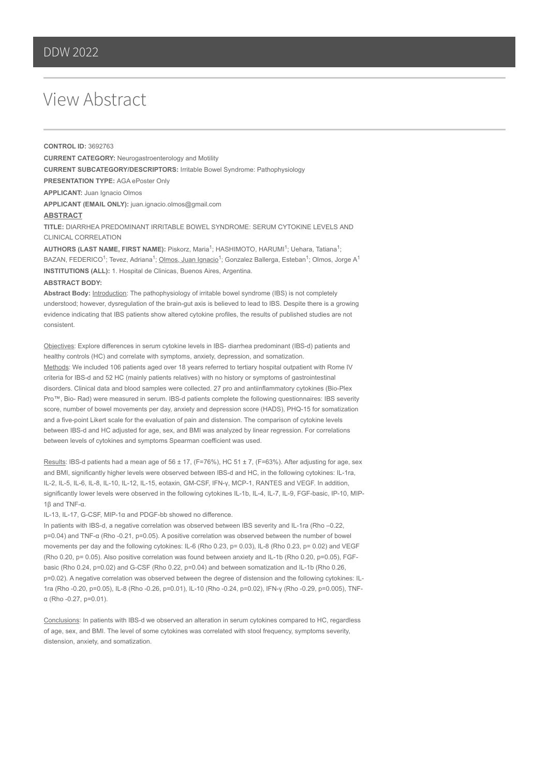## View Abstract

**CONTROL ID:** 3692763 **CURRENT CATEGORY:** Neurogastroenterology and Motility **CURRENT SUBCATEGORY/DESCRIPTORS:** Irritable Bowel Syndrome: Pathophysiology **PRESENTATION TYPE:** AGA ePoster Only **APPLICANT:** Juan Ignacio Olmos **APPLICANT (EMAIL ONLY):** juan.ignacio.olmos@gmail.com **ABSTRACT**

**TITLE:** DIARRHEA PREDOMINANT IRRITABLE BOWEL SYNDROME: SERUM CYTOKINE LEVELS AND CLINICAL CORRELATION

AUTHORS (LAST NAME, FIRST NAME): Piskorz, Maria<sup>1</sup>; HASHIMOTO, HARUMI<sup>1</sup>; Uehara, Tatiana<sup>1</sup>; BAZAN, FEDERICO<sup>1</sup>; Tevez, Adriana<sup>1</sup>; <u>Olmos, Juan Ignacio</u><sup>1</sup>; Gonzalez Ballerga, Esteban<sup>1</sup>; Olmos, Jorge A<sup>1</sup> **INSTITUTIONS (ALL):** 1. Hospital de Clinicas, Buenos Aires, Argentina.

## **ABSTRACT BODY:**

Abstract Body: **Introduction:** The pathophysiology of irritable bowel syndrome (IBS) is not completely understood; however, dysregulation of the brain-gut axis is believed to lead to IBS. Despite there is a growing evidence indicating that IBS patients show altered cytokine profiles, the results of published studies are not consistent.

Objectives: Explore differences in serum cytokine levels in IBS- diarrhea predominant (IBS-d) patients and healthy controls (HC) and correlate with symptoms, anxiety, depression, and somatization. Methods: We included 106 patients aged over 18 years referred to tertiary hospital outpatient with Rome IV criteria for IBS-d and 52 HC (mainly patients relatives) with no history or symptoms of gastrointestinal disorders. Clinical data and blood samples were collected. 27 pro and antiinflammatory cytokines (Bio-Plex Pro™, Bio- Rad) were measured in serum. IBS-d patients complete the following questionnaires: IBS severity score, number of bowel movements per day, anxiety and depression score (HADS), PHQ-15 for somatization and a five-point Likert scale for the evaluation of pain and distension. The comparison of cytokine levels between IBS-d and HC adjusted for age, sex, and BMI was analyzed by linear regression. For correlations between levels of cytokines and symptoms Spearman coefficient was used.

Results: IBS-d patients had a mean age of 56  $\pm$  17, (F=76%), HC 51  $\pm$  7, (F=63%). After adjusting for age, sex and BMI, significantly higher levels were observed between IBS-d and HC, in the following cytokines: IL-1ra, IL-2, IL-5, IL-6, IL-8, IL-10, IL-12, IL-15, eotaxin, GM-CSF, IFN-γ, MCP-1, RANTES and VEGF. In addition, significantly lower levels were observed in the following cytokines IL-1b, IL-4, IL-7, IL-9, FGF-basic, IP-10, MIP-1β and TNF-α.

IL-13, IL-17, G-CSF, MIP-1α and PDGF-bb showed no difference.

In patients with IBS-d, a negative correlation was observed between IBS severity and IL-1ra (Rho –0.22, p=0.04) and TNF-α (Rho -0.21, p=0.05). A positive correlation was observed between the number of bowel movements per day and the following cytokines: IL-6 (Rho 0.23, p= 0.03), IL-8 (Rho 0.23, p= 0.02) and VEGF (Rho 0.20, p= 0.05). Also positive correlation was found between anxiety and IL-1b (Rho 0.20, p=0.05), FGFbasic (Rho 0.24, p=0.02) and G-CSF (Rho 0.22, p=0.04) and between somatization and IL-1b (Rho 0.26, p=0.02). A negative correlation was observed between the degree of distension and the following cytokines: IL-1ra (Rho -0.20, p=0.05), IL-8 (Rho -0.26, p=0.01), IL-10 (Rho -0.24, p=0.02), IFN-γ (Rho -0.29, p=0.005), TNFα (Rho -0.27, p=0.01).

Conclusions: In patients with IBS-d we observed an alteration in serum cytokines compared to HC, regardless of age, sex, and BMI. The level of some cytokines was correlated with stool frequency, symptoms severity, distension, anxiety, and somatization.